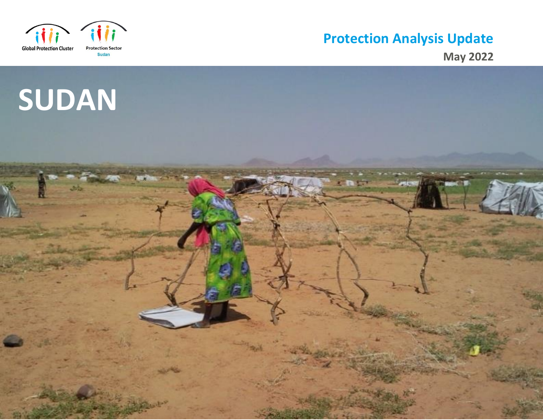

# **Protection Analysis Updat e**

**May 2022**

# **SUDAN**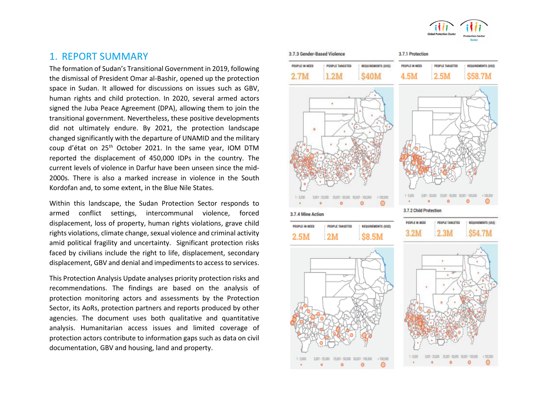

The formation of Sudan's Transitional Government in 2019, following the dismissal of President Omar al-Bashir, opened up the protection space in Sudan. It allowed for discussions on issues such as GBV, human rights and child protection. In 2020, several armed actors signed the Juba Peace Agreement (DPA), allowing them to join the transitional government. Nevertheless, these positive developments did not ultimately endure. By 2021, the protection landscape changed significantly with the departure of UNAMID and the military coup d'état on 25<sup>th</sup> October 2021. In the same year, IOM DTM reported the displacement of 450,000 IDPs in the country. The current levels of violence in Darfur have been unseen since the mid-2000s. There is also a marked increase in violence in the South Kordofan and, to some extent, in the Blue Nile States.

Within this landscape, the Sudan Protection Sector responds to armed conflict settings, intercommunal violence, forced displacement, loss of property, human rights violations, grave child rights violations, climate change, sexual violence and criminal activity amid political fragility and uncertainty. Significant protection risks faced by civilians include the right to life, displacement, secondary displacement, GBV and denial and impediments to access to services.

This Protection Analysis Update analyses priority protection risks and recommendations. The findings are based on the analysis of protection monitoring actors and assessments by the Protection Sector, its AoRs, protection partners and reports produced by other agencies. The document uses both qualitative and quantitative analysis. Humanitarian access issues and limited coverage of protection actors contribute to information gaps such as data on civil documentation, GBV and housing, land and property.

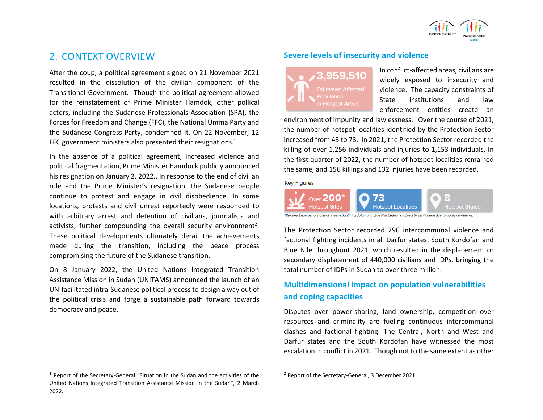

# 2. CONTEXT OVERVIEW

After the coup, a political agreement signed on 21 November 2021 resulted in the dissolution of the civilian component of the Transitional Government. Though the political agreement allowed for the reinstatement of Prime Minister Hamdok, other pollical actors, including the Sudanese Professionals Association (SPA), the Forces for Freedom and Change (FFC), the National Umma Party and the Sudanese Congress Party, condemned it. On 22 November, 12 FFC government ministers also presented their resignations.<sup>1</sup>

In the absence of a political agreement, increased violence and political fragmentation, Prime Minister Hamdock publicly announced his resignation on January 2, 2022.. In response to the end of civilian rule and the Prime Minister's resignation, the Sudanese people continue to protest and engage in civil disobedience. In some locations, protests and civil unrest reportedly were responded to with arbitrary arrest and detention of civilians, journalists and activists, further compounding the overall security environment<sup>2</sup>. These political developments ultimately derail the achievements made during the transition, including the peace process compromising the future of the Sudanese transition.

On 8 January 2022, the United Nations Integrated Transition Assistance Mission in Sudan (UNITAMS) announced the launch of an UN-facilitated intra-Sudanese political process to design a way out of the political crisis and forge a sustainable path forward towards democracy and peace.

#### **Severe levels of insecurity and violence**

In conflict-affected areas, civilians are widely exposed to insecurity and violence. The capacity constraints of State institutions and law enforcement entities create an

environment of impunity and lawlessness. Over the course of 2021, the number of hotspot localities identified by the Protection Sector increased from 43 to 73. In 2021, the Protection Sector recorded the killing of over 1,256 individuals and injuries to 1,153 individuals. In the first quarter of 2022, the number of hotspot localities remained the same, and 156 killings and 132 injuries have been recorded.

**Key Figures** 



of hotspot sites in South Kordofan and Blue Nile States is subject to verification due to

The Protection Sector recorded 296 intercommunal violence and factional fighting incidents in all Darfur states, South Kordofan and Blue Nile throughout 2021, which resulted in the displacement or secondary displacement of 440,000 civilians and IDPs, bringing the total number of IDPs in Sudan to over three million.

# **Multidimensional impact on population vulnerabilities and coping capacities**

Disputes over power-sharing, land ownership, competition over resources and criminality are fueling continuous intercommunal clashes and factional fighting. The Central, North and West and Darfur states and the South Kordofan have witnessed the most escalation in conflict in 2021. Though not to the same extent as other

 $1$  Report of the Secretary-General "Situation in the Sudan and the activities of the United Nations Integrated Transition Assistance Mission in the Sudan", 2 March 2022.

<sup>2</sup> Report of the Secretary-General, 3 December 2021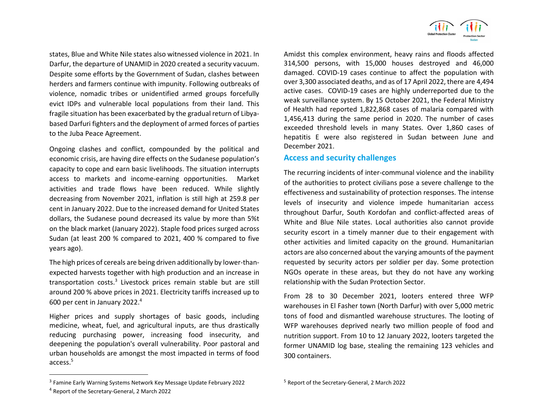states, Blue and White Nile states also witnessed violence in 2021. In Darfur, the departure of UNAMID in 2020 created a security vacuum. Despite some efforts by the Government of Sudan, clashes between herders and farmers continue with impunity. Following outbreaks of violence, nomadic tribes or unidentified armed groups forcefully evict IDPs and vulnerable local populations from their land. This fragile situation has been exacerbated by the gradual return of Libyabased Darfuri fighters and the deployment of armed forces of parties to the Juba Peace Agreement.

Ongoing clashes and conflict, compounded by the political and economic crisis, are having dire effects on the Sudanese population's capacity to cope and earn basic livelihoods. The situation interrupts access to markets and income-earning opportunities. Market activities and trade flows have been reduced. While slightly decreasing from November 2021, inflation is still high at 259.8 per cent in January 2022. Due to the increased demand for United States dollars, the Sudanese pound decreased its value by more than 5%t on the black market (January 2022). Staple food prices surged across Sudan (at least 200 % compared to 2021, 400 % compared to five years ago).

The high prices of cereals are being driven additionally by lower-thanexpected harvests together with high production and an increase in transportation costs.<sup>3</sup> Livestock prices remain stable but are still around 200 % above prices in 2021. Electricity tariffs increased up to 600 per cent in January 2022. 4

Higher prices and supply shortages of basic goods, including medicine, wheat, fuel, and agricultural inputs, are thus drastically reducing purchasing power, increasing food insecurity, and deepening the population's overall vulnerability. Poor pastoral and urban households are amongst the most impacted in terms of food access. 5

<sup>3</sup> Famine Early Warning Systems Network Key Message Update February 2022



Amidst this complex environment, heavy rains and floods affected 314,500 persons, with 15,000 houses destroyed and 46,000 damaged. COVID-19 cases continue to affect the population with over 3,300 associated deaths, and as of 17 April 2022, there are 4,494 active cases. COVID-19 cases are highly underreported due to the weak surveillance system. By 15 October 2021, the Federal Ministry of Health had reported 1,822,868 cases of malaria compared with 1,456,413 during the same period in 2020. The number of cases exceeded threshold levels in many States. Over 1,860 cases of hepatitis E were also registered in Sudan between June and December 2021.

#### **Access and security challenges**

The recurring incidents of inter-communal violence and the inability of the authorities to protect civilians pose a severe challenge to the effectiveness and sustainability of protection responses. The intense levels of insecurity and violence impede humanitarian access throughout Darfur, South Kordofan and conflict-affected areas of White and Blue Nile states. Local authorities also cannot provide security escort in a timely manner due to their engagement with other activities and limited capacity on the ground. Humanitarian actors are also concerned about the varying amounts of the payment requested by security actors per soldier per day. Some protection NGOs operate in these areas, but they do not have any working relationship with the Sudan Protection Sector.

From 28 to 30 December 2021, looters entered three WFP warehouses in El Fasher town (North Darfur) with over 5,000 metric tons of food and dismantled warehouse structures. The looting of WFP warehouses deprived nearly two million people of food and nutrition support. From 10 to 12 January 2022, looters targeted the former UNAMID log base, stealing the remaining 123 vehicles and 300 containers.

<sup>5</sup> Report of the Secretary-General, 2 March 2022

<sup>4</sup> Report of the Secretary-General, 2 March 2022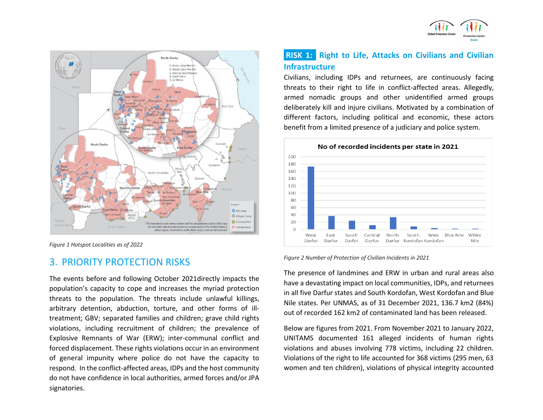



*Figure 1 Hotspot Localities as of 2022*

# 3. PRIORITY PROTECTION RISKS

The events before and following October 2021directly impacts the population's capacity to cope and increases the myriad protection threats to the population. The threats include unlawful killings, arbitrary detention, abduction, torture, and other forms of illtreatment; GBV; separated families and children; grave child rights violations, including recruitment of children; the prevalence of Explosive Remnants of War (ERW); inter-communal conflict and forced displacement. These rights violations occur in an environment of general impunity where police do not have the capacity to respond. In the conflict-affected areas, IDPs and the host community do not have confidence in local authorities, armed forces and/or JPA signatories.

# **RISK 1: Right to Life, Attacks on Civilians and Civilian Infrastructure**

Civilians, including IDPs and returnees, are continuously facing threats to their right to life in conflict-affected areas. Allegedly, armed nomadic groups and other unidentified armed groups deliberately kill and injure civilians. Motivated by a combination of different factors, including political and economic, these actors benefit from a limited presence of a judiciary and police system.



*Figure 2 Number of Protection of Civilian Incidents in 2021*

The presence of landmines and ERW in urban and rural areas also have a devastating impact on local communities, IDPs, and returnees in all five Darfur states and South Kordofan, West Kordofan and Blue Nile states. Per UNMAS, as of 31 December 2021, 136.7 km2 (84%) out of recorded 162 km2 of contaminated land has been released.

Below are figures from 2021. From November 2021 to January 2022, UNITAMS documented 161 alleged incidents of human rights violations and abuses involving 778 victims, including 22 children. Violations of the right to life accounted for 368 victims (295 men, 63 women and ten children), violations of physical integrity accounted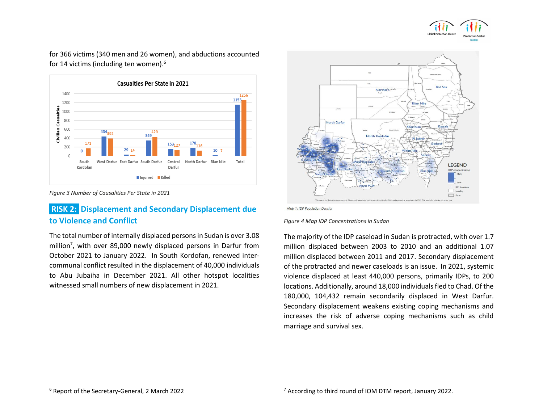

for 366 victims (340 men and 26 women), and abductions accounted for 14 victims (including ten women).<sup>6</sup>



*Figure 3 Number of Causalities Per State in 2021*

# **RISK 2: Displacement and Secondary Displacement due to Violence and Conflict**

The total number of internally displaced persons in Sudan is over 3.08 million<sup>7</sup>, with over 89,000 newly displaced persons in Darfur from October 2021 to January 2022. In South Kordofan, renewed intercommunal conflict resulted in the displacement of 40,000 individuals to Abu Jubaiha in December 2021. All other hotspot localities witnessed small numbers of new displacement in 2021.



Map 1: IDP Population Density

*Figure 4 Map IDP Concentrations in Sudan*

The majority of the IDP caseload in Sudan is protracted, with over 1.7 million displaced between 2003 to 2010 and an additional 1.07 million displaced between 2011 and 2017. Secondary displacement of the protracted and newer caseloads is an issue. In 2021, systemic violence displaced at least 440,000 persons, primarily IDPs, to 200 locations. Additionally, around 18,000 individuals fled to Chad. Of the 180,000, 104,432 remain secondarily displaced in West Darfur. Secondary displacement weakens existing coping mechanisms and increases the risk of adverse coping mechanisms such as child marriage and survival sex.

<sup>6</sup> Report of the Secretary-General, 2 March 2022

<sup>7</sup> According to third round of IOM DTM report, January 2022.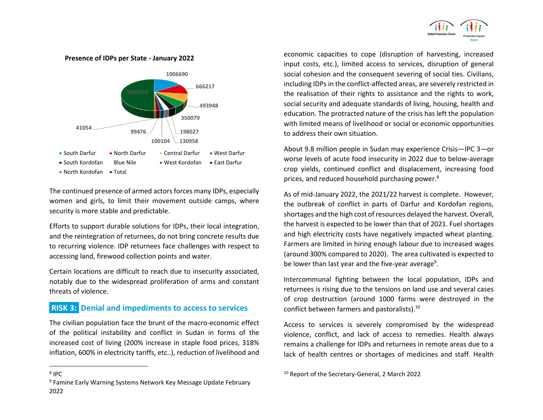

**Presence of IDPs per State - January 2022**



The continued presence of armed actors forces many IDPs, especially women and girls, to limit their movement outside camps, where security is more stable and predictable.

Efforts to support durable solutions for IDPs, their local integration, and the reintegration of returnees, do not bring concrete results due to recurring violence. IDP returnees face challenges with respect to accessing land, firewood collection points and water.

Certain locations are difficult to reach due to insecurity associated, notably due to the widespread proliferation of arms and constant threats of violence.

### **RISK 3: Denial and impediments to access to services**

The civilian population face the brunt of the macro-economic effect of the political instability and conflict in Sudan in forms of the increased cost of living (200% increase in staple food prices, 318% inflation, 600% in electricity tariffs, etc..), reduction of livelihood and

8 IPC

<sup>9</sup> Famine Early Warning Systems Network Key Message Update February 2022

economic capacities to cope (disruption of harvesting, increased input costs, etc.), limited access to services, disruption of general social cohesion and the consequent severing of social ties. Civilians, including IDPs in the conflict-affected areas, are severely restricted in the realisation of their rights to assistance and the rights to work, social security and adequate standards of living, housing, health and education. The protracted nature of the crisis has left the population with limited means of livelihood or social or economic opportunities to address their own situation.

About 9.8 million people in Sudan may experience Crisis—IPC 3—or worse levels of acute food insecurity in 2022 due to below-average crop yields, continued conflict and displacement, increasing food prices, and reduced household purchasing power.<sup>8</sup>

As of mid-January 2022, the 2021/22 harvest is complete. However, the outbreak of conflict in parts of Darfur and Kordofan regions, shortages and the high cost of resources delayed the harvest. Overall, the harvest is expected to be lower than that of 2021. Fuel shortages and high electricity costs have negatively impacted wheat planting. Farmers are limited in hiring enough labour due to increased wages (around 300% compared to 2020). The area cultivated is expected to be lower than last year and the five-year average<sup>9</sup>.

Intercommunal fighting between the local population, IDPs and returnees is rising due to the tensions on land use and several cases of crop destruction (around 1000 farms were destroyed in the conflict between farmers and pastoralists).<sup>10</sup>

Access to services is severely compromised by the widespread violence, conflict, and lack of access to remedies. Health always remains a challenge for IDPs and returnees in remote areas due to a lack of health centres or shortages of medicines and staff. Health

<sup>10</sup> Report of the Secretary-General, 2 March 2022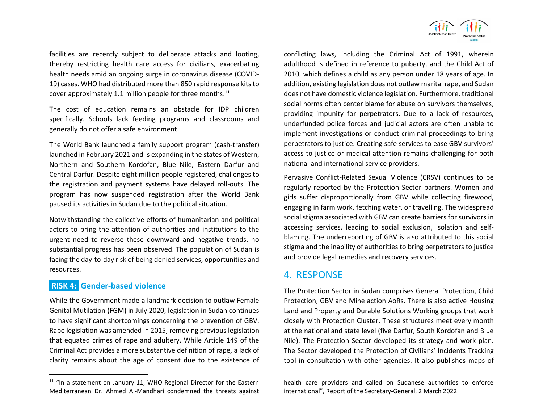

facilities are recently subject to deliberate attacks and looting, thereby restricting health care access for civilians, exacerbating health needs amid an ongoing surge in coronavirus disease (COVID-19) cases. WHO had distributed more than 850 rapid response kits to cover approximately 1.1 million people for three months.<sup>11</sup>

The cost of education remains an obstacle for IDP children specifically. Schools lack feeding programs and classrooms and generally do not offer a safe environment.

The World Bank launched a family support program (cash-transfer) launched in February 2021 and is expanding in the states of Western, Northern and Southern Kordofan, Blue Nile, Eastern Darfur and Central Darfur. Despite eight million people registered, challenges to the registration and payment systems have delayed roll-outs. The program has now suspended registration after the World Bank paused its activities in Sudan due to the political situation.

Notwithstanding the collective efforts of humanitarian and political actors to bring the attention of authorities and institutions to the urgent need to reverse these downward and negative trends, no substantial progress has been observed. The population of Sudan is facing the day-to-day risk of being denied services, opportunities and resources.

### **RISK 4: Gender-based violence**

While the Government made a landmark decision to outlaw Female Genital Mutilation (FGM) in July 2020, legislation in Sudan continues to have significant shortcomings concerning the prevention of GBV. Rape legislation was amended in 2015, removing previous legislation that equated crimes of rape and adultery. While Article 149 of the Criminal Act provides a more substantive definition of rape, a lack of clarity remains about the age of consent due to the existence of conflicting laws, including the Criminal Act of 1991, wherein adulthood is defined in reference to puberty, and the Child Act of 2010, which defines a child as any person under 18 years of age. In addition, existing legislation does not outlaw marital rape, and Sudan does not have domestic violence legislation. Furthermore, traditional social norms often center blame for abuse on survivors themselves, providing impunity for perpetrators. Due to a lack of resources, underfunded police forces and judicial actors are often unable to implement investigations or conduct criminal proceedings to bring perpetrators to justice. Creating safe services to ease GBV survivors' access to justice or medical attention remains challenging for both national and international service providers.

Pervasive Conflict-Related Sexual Violence (CRSV) continues to be regularly reported by the Protection Sector partners. Women and girls suffer disproportionally from GBV while collecting firewood, engaging in farm work, fetching water, or travelling. The widespread social stigma associated with GBV can create barriers for survivors in accessing services, leading to social exclusion, isolation and selfblaming. The underreporting of GBV is also attributed to this social stigma and the inability of authorities to bring perpetrators to justice and provide legal remedies and recovery services.

## 4. RESPONSE

The Protection Sector in Sudan comprises General Protection, Child Protection, GBV and Mine action AoRs. There is also active Housing Land and Property and Durable Solutions Working groups that work closely with Protection Cluster. These structures meet every month at the national and state level (five Darfur, South Kordofan and Blue Nile). The Protection Sector developed its strategy and work plan. The Sector developed the Protection of Civilians' Incidents Tracking tool in consultation with other agencies. It also publishes maps of

 $11$  "In a statement on January 11, WHO Regional Director for the Eastern Mediterranean Dr. Ahmed Al-Mandhari condemned the threats against

health care providers and called on Sudanese authorities to enforce international", Report of the Secretary-General, 2 March 2022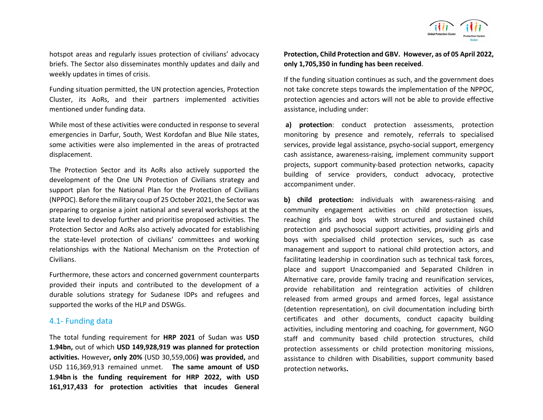

hotspot areas and regularly issues protection of civilians' advocacy briefs. The Sector also disseminates monthly updates and daily and weekly updates in times of crisis.

Funding situation permitted, the UN protection agencies, Protection Cluster, its AoRs, and their partners implemented activities mentioned under funding data.

While most of these activities were conducted in response to several emergencies in Darfur, South, West Kordofan and Blue Nile states, some activities were also implemented in the areas of protracted displacement.

The Protection Sector and its AoRs also actively supported the development of the One UN Protection of Civilians strategy and support plan for the National Plan for the Protection of Civilians (NPPOC). Before the military coup of 25 October 2021, the Sector was preparing to organise a joint national and several workshops at the state level to develop further and prioritise proposed activities. The Protection Sector and AoRs also actively advocated for establishing the state-level protection of civilians' committees and working relationships with the National Mechanism on the Protection of Civilians.

Furthermore, these actors and concerned government counterparts provided their inputs and contributed to the development of a durable solutions strategy for Sudanese IDPs and refugees and supported the works of the HLP and DSWGs.

#### 4.1- Funding data

The total funding requirement for **HRP 2021** of Sudan was **USD 1.94bn,** out of which **USD 149,928,919 was planned for protection activities.** However**, only 20%** (USD 30,559,006**) was provided,** and USD 116,369,913 remained unmet. **The same amount of USD 1.94bn is the funding requirement for HRP 2022, with USD 161,917,433 for protection activities that incudes General**  **Protection, Child Protection and GBV. However, as of 05 April 2022, only 1,705,350 in funding has been received.** 

If the funding situation continues as such, and the government does not take concrete steps towards the implementation of the NPPOC, protection agencies and actors will not be able to provide effective assistance, including under:

**a) protection**: conduct protection assessments, protection monitoring by presence and remotely, referrals to specialised services, provide legal assistance, psycho-social support, emergency cash assistance, awareness-raising, implement community support projects, support community-based protection networks, capacity building of service providers, conduct advocacy, protective accompaniment under.

**b) child protection:** individuals with awareness-raising and community engagement activities on child protection issues, reaching girls and boys with structured and sustained child protection and psychosocial support activities, providing girls and boys with specialised child protection services, such as case management and support to national child protection actors, and facilitating leadership in coordination such as technical task forces, place and support Unaccompanied and Separated Children in Alternative care, provide family tracing and reunification services, provide rehabilitation and reintegration activities of children released from armed groups and armed forces, legal assistance (detention representation), on civil documentation including birth certificates and other documents, conduct capacity building activities, including mentoring and coaching, for government, NGO staff and community based child protection structures, child protection assessments or child protection monitoring missions, assistance to children with Disabilities, support community based protection networks**.**